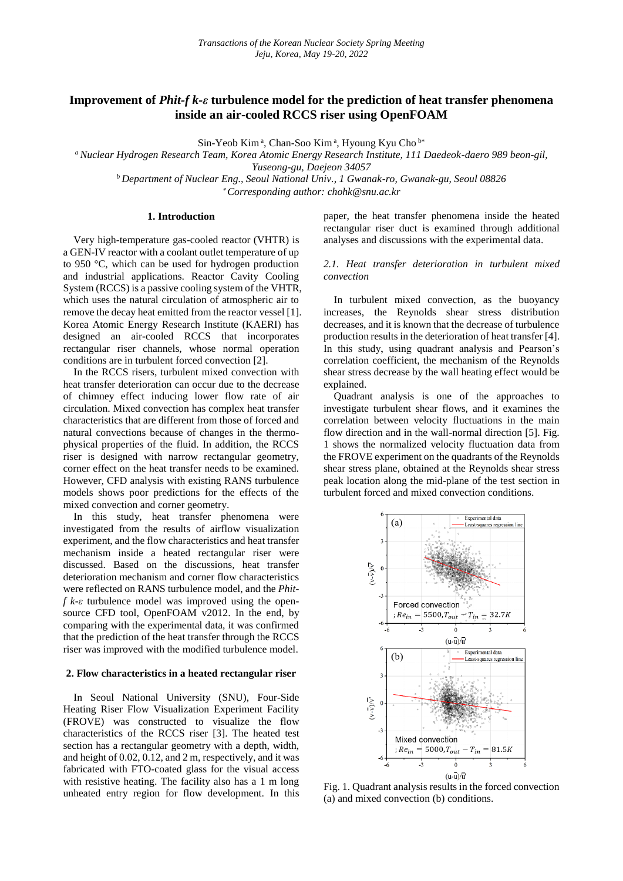# **Improvement of** *Phit-f k-ε* **turbulence model for the prediction of heat transfer phenomena inside an air-cooled RCCS riser using OpenFOAM**

Sin-Yeob Kim<sup>a</sup>, Chan-Soo Kim<sup>a</sup>, Hyoung Kyu Cho<sup>b\*</sup>

*<sup>a</sup>Nuclear Hydrogen Research Team, Korea Atomic Energy Research Institute, 111 Daedeok-daero 989 beon-gil, Yuseong-gu, Daejeon 34057 <sup>b</sup>Department of Nuclear Eng., Seoul National Univ., 1 Gwanak-ro, Gwanak-gu, Seoul 08826*

*Corresponding author: chohk@snu.ac.kr*

# **1. Introduction**

Very high-temperature gas-cooled reactor (VHTR) is a GEN-IV reactor with a coolant outlet temperature of up to 950 °C, which can be used for hydrogen production and industrial applications. Reactor Cavity Cooling System (RCCS) is a passive cooling system of the VHTR, which uses the natural circulation of atmospheric air to remove the decay heat emitted from the reactor vessel [1]. Korea Atomic Energy Research Institute (KAERI) has designed an air-cooled RCCS that incorporates rectangular riser channels, whose normal operation conditions are in turbulent forced convection [2].

In the RCCS risers, turbulent mixed convection with heat transfer deterioration can occur due to the decrease of chimney effect inducing lower flow rate of air circulation. Mixed convection has complex heat transfer characteristics that are different from those of forced and natural convections because of changes in the thermophysical properties of the fluid. In addition, the RCCS riser is designed with narrow rectangular geometry, corner effect on the heat transfer needs to be examined. However, CFD analysis with existing RANS turbulence models shows poor predictions for the effects of the mixed convection and corner geometry.

In this study, heat transfer phenomena were investigated from the results of airflow visualization experiment, and the flow characteristics and heat transfer mechanism inside a heated rectangular riser were discussed. Based on the discussions, heat transfer deterioration mechanism and corner flow characteristics were reflected on RANS turbulence model, and the *Phitf k-ε* turbulence model was improved using the opensource CFD tool, OpenFOAM v2012. In the end, by comparing with the experimental data, it was confirmed that the prediction of the heat transfer through the RCCS riser was improved with the modified turbulence model.

#### **2. Flow characteristics in a heated rectangular riser**

In Seoul National University (SNU), Four-Side Heating Riser Flow Visualization Experiment Facility (FROVE) was constructed to visualize the flow characteristics of the RCCS riser [3]. The heated test section has a rectangular geometry with a depth, width, and height of 0.02, 0.12, and 2 m, respectively, and it was fabricated with FTO-coated glass for the visual access with resistive heating. The facility also has a 1 m long unheated entry region for flow development. In this

paper, the heat transfer phenomena inside the heated rectangular riser duct is examined through additional analyses and discussions with the experimental data.

## *2.1. Heat transfer deterioration in turbulent mixed convection*

In turbulent mixed convection, as the buoyancy increases, the Reynolds shear stress distribution decreases, and it is known that the decrease of turbulence production results in the deterioration of heat transfer [4]. In this study, using quadrant analysis and Pearson's correlation coefficient, the mechanism of the Reynolds shear stress decrease by the wall heating effect would be explained.

Quadrant analysis is one of the approaches to investigate turbulent shear flows, and it examines the correlation between velocity fluctuations in the main flow direction and in the wall-normal direction [5]. Fig. 1 shows the normalized velocity fluctuation data from the FROVE experiment on the quadrants of the Reynolds shear stress plane, obtained at the Reynolds shear stress peak location along the mid-plane of the test section in turbulent forced and mixed convection conditions.



Fig. 1. Quadrant analysis results in the forced convection (a) and mixed convection (b) conditions.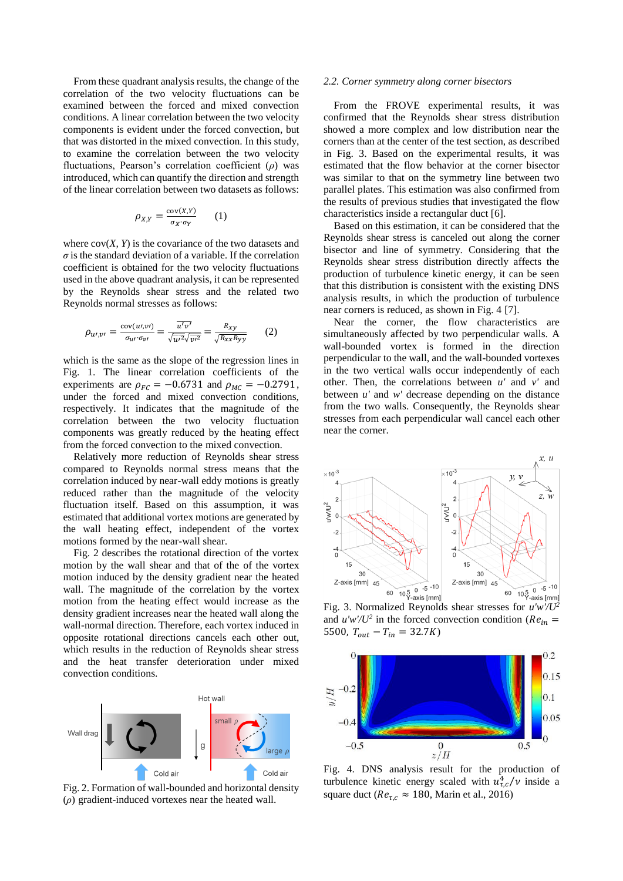From these quadrant analysis results, the change of the correlation of the two velocity fluctuations can be examined between the forced and mixed convection conditions. A linear correlation between the two velocity components is evident under the forced convection, but that was distorted in the mixed convection. In this study, to examine the correlation between the two velocity fluctuations, Pearson's correlation coefficient (*ρ*) was introduced, which can quantify the direction and strength of the linear correlation between two datasets as follows:

$$
\rho_{X,Y} = \frac{\text{cov}(X,Y)}{\sigma_X \cdot \sigma_Y} \qquad (1)
$$

where  $cov(X, Y)$  is the covariance of the two datasets and  $\sigma$  is the standard deviation of a variable. If the correlation coefficient is obtained for the two velocity fluctuations used in the above quadrant analysis, it can be represented by the Reynolds shear stress and the related two Reynolds normal stresses as follows:

$$
\rho_{u\prime,v\prime} = \frac{\text{cov}(u\prime,v\prime)}{\sigma_{u\prime}\cdot \sigma_{v\prime}} = \frac{\overline{u'\overline{v'}}}{\sqrt{\overline{u'}^2} \sqrt{\overline{v'}^2}} = \frac{R_{xy}}{\sqrt{R_{xx}R_{yy}}} \qquad (2)
$$

which is the same as the slope of the regression lines in Fig. 1. The linear correlation coefficients of the experiments are  $\rho_{FC} = -0.6731$  and  $\rho_{MC} = -0.2791$ , under the forced and mixed convection conditions, respectively. It indicates that the magnitude of the correlation between the two velocity fluctuation components was greatly reduced by the heating effect from the forced convection to the mixed convection.

Relatively more reduction of Reynolds shear stress compared to Reynolds normal stress means that the correlation induced by near-wall eddy motions is greatly reduced rather than the magnitude of the velocity fluctuation itself. Based on this assumption, it was estimated that additional vortex motions are generated by the wall heating effect, independent of the vortex motions formed by the near-wall shear.

Fig. 2 describes the rotational direction of the vortex motion by the wall shear and that of the of the vortex motion induced by the density gradient near the heated wall. The magnitude of the correlation by the vortex motion from the heating effect would increase as the density gradient increases near the heated wall along the wall-normal direction. Therefore, each vortex induced in opposite rotational directions cancels each other out, which results in the reduction of Reynolds shear stress and the heat transfer deterioration under mixed convection conditions.



Fig. 2. Formation of wall-bounded and horizontal density (*ρ*) gradient-induced vortexes near the heated wall.

#### *2.2. Corner symmetry along corner bisectors*

From the FROVE experimental results, it was confirmed that the Reynolds shear stress distribution showed a more complex and low distribution near the corners than at the center of the test section, as described in Fig. 3. Based on the experimental results, it was estimated that the flow behavior at the corner bisector was similar to that on the symmetry line between two parallel plates. This estimation was also confirmed from the results of previous studies that investigated the flow characteristics inside a rectangular duct [6].

Based on this estimation, it can be considered that the Reynolds shear stress is canceled out along the corner bisector and line of symmetry. Considering that the Reynolds shear stress distribution directly affects the production of turbulence kinetic energy, it can be seen that this distribution is consistent with the existing DNS analysis results, in which the production of turbulence near corners is reduced, as shown in Fig. 4 [7].

Near the corner, the flow characteristics are simultaneously affected by two perpendicular walls. A wall-bounded vortex is formed in the direction perpendicular to the wall, and the wall-bounded vortexes in the two vertical walls occur independently of each other. Then, the correlations between *u'* and *v'* and between *u'* and *w'* decrease depending on the distance from the two walls. Consequently, the Reynolds shear stresses from each perpendicular wall cancel each other near the corner.



and  $u'w'U^2$  in the forced convection condition ( $Re_{in}$  = 5500,  $T_{out} - T_{in} = 32.7K$ 



Fig. 4. DNS analysis result for the production of turbulence kinetic energy scaled with  $u_{\tau,c}^4/v$  inside a square duct ( $Re_{\tau,c} \approx 180$ , Marin et al., 2016)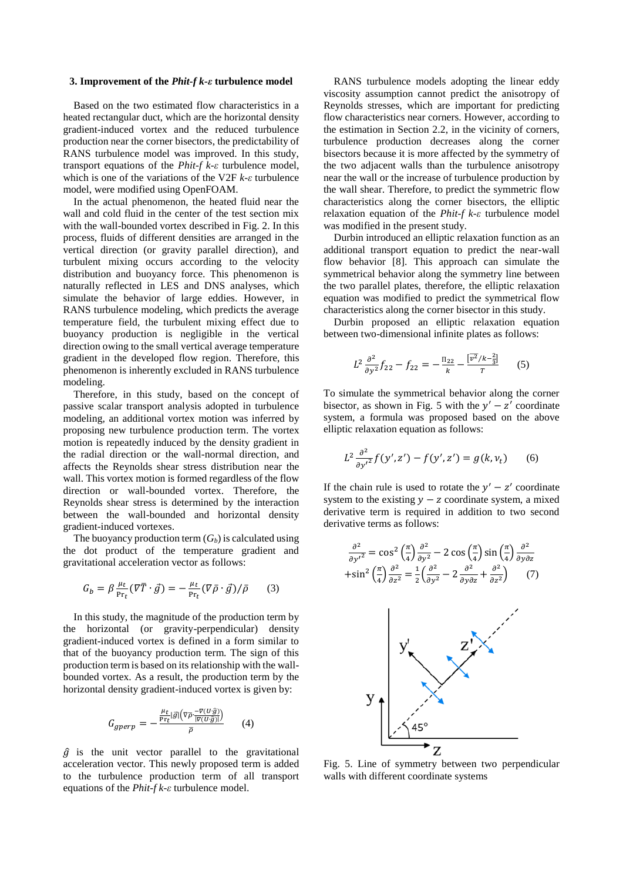#### **3. Improvement of the** *Phit-f k-ε* **turbulence model**

Based on the two estimated flow characteristics in a heated rectangular duct, which are the horizontal density gradient-induced vortex and the reduced turbulence production near the corner bisectors, the predictability of RANS turbulence model was improved. In this study, transport equations of the *Phit-f k-ε* turbulence model, which is one of the variations of the V2F *k-ε* turbulence model, were modified using OpenFOAM.

In the actual phenomenon, the heated fluid near the wall and cold fluid in the center of the test section mix with the wall-bounded vortex described in Fig. 2. In this process, fluids of different densities are arranged in the vertical direction (or gravity parallel direction), and turbulent mixing occurs according to the velocity distribution and buoyancy force. This phenomenon is naturally reflected in LES and DNS analyses, which simulate the behavior of large eddies. However, in RANS turbulence modeling, which predicts the average temperature field, the turbulent mixing effect due to buoyancy production is negligible in the vertical direction owing to the small vertical average temperature gradient in the developed flow region. Therefore, this phenomenon is inherently excluded in RANS turbulence modeling.

Therefore, in this study, based on the concept of passive scalar transport analysis adopted in turbulence modeling, an additional vortex motion was inferred by proposing new turbulence production term. The vortex motion is repeatedly induced by the density gradient in the radial direction or the wall-normal direction, and affects the Reynolds shear stress distribution near the wall. This vortex motion is formed regardless of the flow direction or wall-bounded vortex. Therefore, the Reynolds shear stress is determined by the interaction between the wall-bounded and horizontal density gradient-induced vortexes.

The buoyancy production term  $(G_b)$  is calculated using the dot product of the temperature gradient and gravitational acceleration vector as follows:

$$
G_b = \beta \frac{\mu_t}{\mathrm{Pr}_t} (\nabla \overline{T} \cdot \overrightarrow{g}) = -\frac{\mu_t}{\mathrm{Pr}_t} (\nabla \overrightarrow{\rho} \cdot \overrightarrow{g}) / \overrightarrow{\rho} \tag{3}
$$

In this study, the magnitude of the production term by the horizontal (or gravity-perpendicular) density gradient-induced vortex is defined in a form similar to that of the buoyancy production term. The sign of this production term is based on its relationship with the wallbounded vortex. As a result, the production term by the horizontal density gradient-induced vortex is given by:

$$
G_{gperp} = -\frac{\frac{\mu_t}{\text{Pr}_t} |\vec{g}| (\nabla \overline{\rho} \frac{-\nabla (U \cdot \hat{g})}{|\nabla (U \cdot \hat{g})|})}{\overline{\rho}} \tag{4}
$$

 $\hat{g}$  is the unit vector parallel to the gravitational acceleration vector. This newly proposed term is added to the turbulence production term of all transport equations of the *Phit-f k-ε* turbulence model.

RANS turbulence models adopting the linear eddy viscosity assumption cannot predict the anisotropy of Reynolds stresses, which are important for predicting flow characteristics near corners. However, according to the estimation in Section 2.2, in the vicinity of corners, turbulence production decreases along the corner bisectors because it is more affected by the symmetry of the two adjacent walls than the turbulence anisotropy near the wall or the increase of turbulence production by the wall shear. Therefore, to predict the symmetric flow characteristics along the corner bisectors, the elliptic relaxation equation of the *Phit-f k-ε* turbulence model was modified in the present study.

Durbin introduced an elliptic relaxation function as an additional transport equation to predict the near-wall flow behavior [8]. This approach can simulate the symmetrical behavior along the symmetry line between the two parallel plates, therefore, the elliptic relaxation equation was modified to predict the symmetrical flow characteristics along the corner bisector in this study.

Durbin proposed an elliptic relaxation equation between two-dimensional infinite plates as follows:

$$
L^2 \frac{\partial^2}{\partial y^2} f_{22} - f_{22} = -\frac{\Pi_{22}}{k} - \frac{[\overline{v^2}/k - \frac{2}{3}]}{T}
$$
 (5)

To simulate the symmetrical behavior along the corner bisector, as shown in Fig. 5 with the  $y' - z'$  coordinate system, a formula was proposed based on the above elliptic relaxation equation as follows:

$$
L^{2} \frac{\partial^{2}}{\partial y'^{2}} f(y', z') - f(y', z') = g(k, v_{t}) \qquad (6)
$$

If the chain rule is used to rotate the  $y' - z'$  coordinate system to the existing  $y - z$  coordinate system, a mixed derivative term is required in addition to two second derivative terms as follows:

$$
\frac{\partial^2}{\partial y'^2} = \cos^2\left(\frac{\pi}{4}\right)\frac{\partial^2}{\partial y^2} - 2\cos\left(\frac{\pi}{4}\right)\sin\left(\frac{\pi}{4}\right)\frac{\partial^2}{\partial y \partial z} \n+\sin^2\left(\frac{\pi}{4}\right)\frac{\partial^2}{\partial z^2} = \frac{1}{2}\left(\frac{\partial^2}{\partial y^2} - 2\frac{\partial^2}{\partial y \partial z} + \frac{\partial^2}{\partial z^2}\right) \tag{7}
$$



Fig. 5. Line of symmetry between two perpendicular walls with different coordinate systems